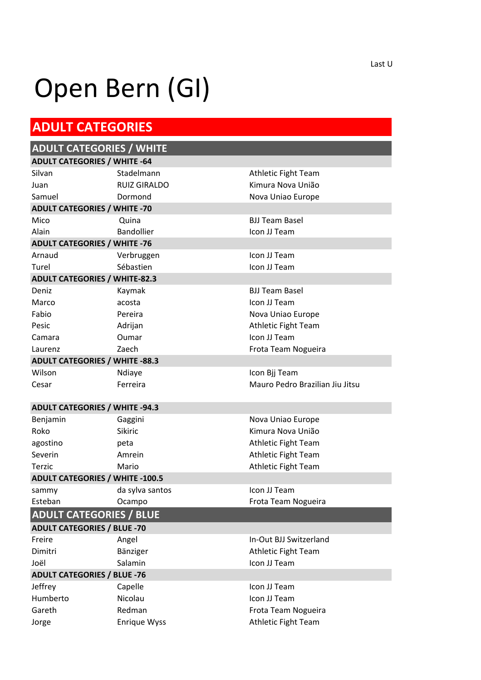# Open Bern (GI)

## **ADULT CATEGORIES**

#### **ADULT CATEGORIES / WHITE ADULT CATEGORIES / WHITE -64** Silvan Stadelmann Stadelmann Stadelmann Stadelmann Stadelmann Stadelmann Stadelmann Stadelmann Staden Staden Staden Juan **RUIZ GIRALDO** Kimura Nova União Samuel **Dormond** Dormond Nova Uniao Europe **ADULT CATEGORIES / WHITE -70** Mico **Quina BJJ Team Basel** Alain Bandollier Bandollier Con JJ Team **ADULT CATEGORIES / WHITE -76** Arnaud Verbruggen Icon JJ Team Turel **Sébastien** Sébastien Icon JJ Team **ADULT CATEGORIES / WHITE-82.3** Deniz **Kaymak BJJ Team Basel** Marco acosta acosta Icon JJ Team Fabio Pereira Pereira Nova Uniao Europe Pesic **Adrigan Adrigan** Athletic Fight Team Camara **Camara** Oumar **Icon JJ Team** Laurenz **Election Carry 2** Zaech **Frota Team Nogueira ADULT CATEGORIES / WHITE -88.3** Wilson Ndiaye **Icon Bjj Team** Cesar Ferreira Mauro Pedro Brazilian Jiu Jitsu **ADULT CATEGORIES / WHITE -94.3** Benjamin Gaggini Gaggini Nova Uniao Europe Roko Sikiric Sikiric Kimura Nova União agostino **peta** peta **Athletic Fight Team** Severin **Amrein** Amrein **Amrein** Athletic Fight Team Terzic **Mario** Mario **Athletic Fight Team ADULT CATEGORIES / WHITE -100.5** sammy da sylva santos icon JJ Team Esteban **Campo** Campo **Frota Team Nogueira ADULT CATEGORIES / BLUE**

**ADULT CATEGORIES / BLUE -70** Freire **Angel** Angel Angel **In-Out BJJ** Switzerland Dimitri Bänziger Bänziger Athletic Fight Team Joël Salamin Icon JJ Team **ADULT CATEGORIES / BLUE -76** Jeffrey Capelle Capelle Icon JJ Team Humberto Nicolau Icon JJ Team Gareth Redman Redman Frota Team Nogueira Jorge **Enrique Wyss** Enrique Wyss **Athletic Fight Team**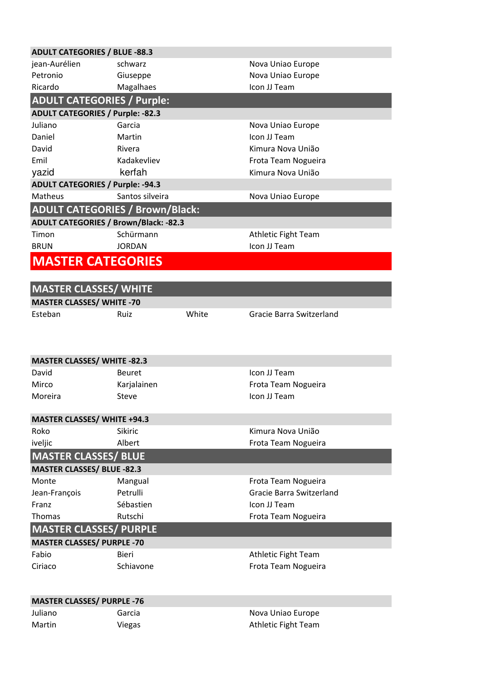| <b>ADULT CATEGORIES / BLUE -88.3</b>    |                                              |       |                                 |  |
|-----------------------------------------|----------------------------------------------|-------|---------------------------------|--|
| jean-Aurélien                           | schwarz                                      |       | Nova Uniao Europe               |  |
| Petronio                                | Giuseppe                                     |       | Nova Uniao Europe               |  |
| Ricardo                                 | Magalhaes                                    |       | Icon JJ Team                    |  |
|                                         | <b>ADULT CATEGORIES / Purple:</b>            |       |                                 |  |
| <b>ADULT CATEGORIES / Purple: -82.3</b> |                                              |       |                                 |  |
| Juliano                                 | Garcia                                       |       | Nova Uniao Europe               |  |
| Daniel                                  | Martin                                       |       | Icon JJ Team                    |  |
| David                                   | Rivera                                       |       | Kimura Nova União               |  |
| Emil                                    | Kadakevliev                                  |       | Frota Team Nogueira             |  |
| yazid                                   | kerfah                                       |       | Kimura Nova União               |  |
| <b>ADULT CATEGORIES / Purple: -94.3</b> |                                              |       |                                 |  |
| Matheus                                 | Santos silveira                              |       | Nova Uniao Europe               |  |
|                                         | <b>ADULT CATEGORIES / Brown/Black:</b>       |       |                                 |  |
|                                         | <b>ADULT CATEGORIES / Brown/Black: -82.3</b> |       |                                 |  |
| Timon                                   | Schürmann                                    |       | <b>Athletic Fight Team</b>      |  |
| <b>BRUN</b>                             | <b>JORDAN</b>                                |       | Icon JJ Team                    |  |
| <b>MASTER CATEGORIES</b>                |                                              |       |                                 |  |
|                                         |                                              |       |                                 |  |
| <b>MASTER CLASSES/ WHITE</b>            |                                              |       |                                 |  |
| <b>MASTER CLASSES/ WHITE -70</b>        |                                              |       |                                 |  |
| Esteban                                 | Ruiz                                         | White | Gracie Barra Switzerland        |  |
|                                         |                                              |       |                                 |  |
|                                         |                                              |       |                                 |  |
|                                         |                                              |       |                                 |  |
| <b>MASTER CLASSES/ WHITE -82.3</b>      |                                              |       |                                 |  |
| David                                   | <b>Beuret</b>                                |       | Icon JJ Team                    |  |
| Mirco                                   | Karjalainen                                  |       | Frota Team Nogueira             |  |
| Moreira                                 | <b>Steve</b>                                 |       | Icon JJ Team                    |  |
|                                         |                                              |       |                                 |  |
| <b>MASTER CLASSES/ WHITE +94.3</b>      |                                              |       |                                 |  |
| Roko                                    | Sikiric                                      |       | Kimura Nova União               |  |
| iveljic                                 | Albert                                       |       | Frota Team Nogueira             |  |
| <b>MASTER CLASSES/ BLUE</b>             |                                              |       |                                 |  |
| <b>MASTER CLASSES/ BLUE -82.3</b>       |                                              |       |                                 |  |
| Monte                                   | Mangual                                      |       | Frota Team Nogueira             |  |
| Jean-François                           | Petrulli                                     |       | <b>Gracie Barra Switzerland</b> |  |
| Franz                                   | Sébastien                                    |       | Icon JJ Team                    |  |
| Thomas                                  | Rutschi                                      |       | Frota Team Nogueira             |  |
| <b>MASTER CLASSES/ PURPLE</b>           |                                              |       |                                 |  |
| <b>MASTER CLASSES/ PURPLE -70</b>       |                                              |       |                                 |  |
| Fabio                                   | Bieri                                        |       | Athletic Fight Team             |  |
| Ciriaco                                 | Schiavone                                    |       | Frota Team Nogueira             |  |
|                                         |                                              |       |                                 |  |
|                                         |                                              |       |                                 |  |
| <b>MASTER CLASSES/ PURPLE -76</b>       |                                              |       |                                 |  |
| Juliano                                 | Garcia                                       |       | Nova Uniao Europe               |  |
| Martin                                  | Viegas                                       |       | Athletic Fight Team             |  |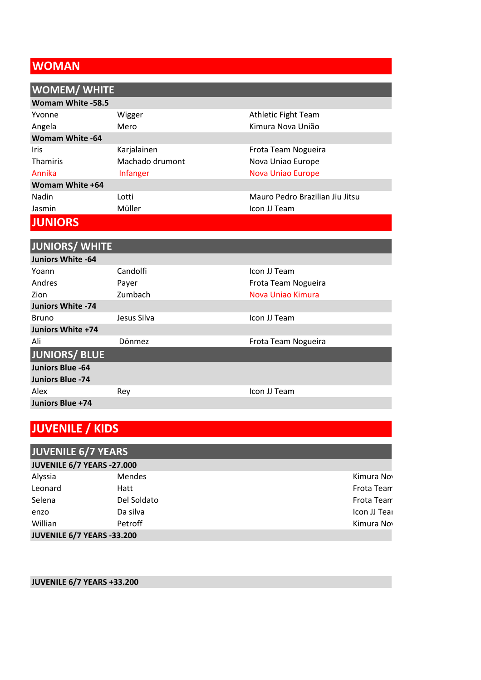## **WOMAN**

| <b>WOMEM/WHITE</b>       |                 |                                 |  |
|--------------------------|-----------------|---------------------------------|--|
| <b>Womam White -58.5</b> |                 |                                 |  |
| Yvonne                   | Wigger          | <b>Athletic Fight Team</b>      |  |
| Angela                   | Mero            | Kimura Nova União               |  |
| <b>Womam White -64</b>   |                 |                                 |  |
| <b>Iris</b>              | Karjalainen     | Frota Team Nogueira             |  |
| Thamiris                 | Machado drumont | Nova Uniao Europe               |  |
| Annika                   | Infanger        | <b>Nova Uniao Europe</b>        |  |
| <b>Womam White +64</b>   |                 |                                 |  |
| Nadin                    | Lotti           | Mauro Pedro Brazilian Jiu Jitsu |  |
| Jasmin                   | Müller          | Icon JJ Team                    |  |
| <b>JUNIORS</b>           |                 |                                 |  |

| <b>JUNIORS/WHITE</b>     |             |                     |  |
|--------------------------|-------------|---------------------|--|
| <b>Juniors White -64</b> |             |                     |  |
| Yoann                    | Candolfi    | Icon JJ Team        |  |
| Andres                   | Payer       | Frota Team Nogueira |  |
| Zion                     | Zumbach     | Nova Uniao Kimura   |  |
| <b>Juniors White -74</b> |             |                     |  |
| <b>Bruno</b>             | Jesus Silva | Icon JJ Team        |  |
| Juniors White +74        |             |                     |  |
| Ali                      | Dönmez      | Frota Team Nogueira |  |
| <b>JUNIORS/ BLUE</b>     |             |                     |  |
| <b>Juniors Blue -64</b>  |             |                     |  |
| <b>Juniors Blue -74</b>  |             |                     |  |
| Alex                     | Rey         | Icon JJ Team        |  |
| Juniors Blue +74         |             |                     |  |

## **JUVENILE / KIDS**

| <b>JUVENILE 6/7 YEARS</b><br>JUVENILE 6/7 YEARS -27.000 |             |              |
|---------------------------------------------------------|-------------|--------------|
|                                                         |             |              |
| Leonard                                                 | Hatt        | Frota Team   |
| Selena                                                  | Del Soldato | Frota Team   |
| enzo                                                    | Da silva    | Icon JJ Tear |
| Willian                                                 | Petroff     | Kimura Nov   |
| JUVENILE 6/7 YEARS -33.200                              |             |              |

## **JUVENILE 6/7 YEARS +33.200**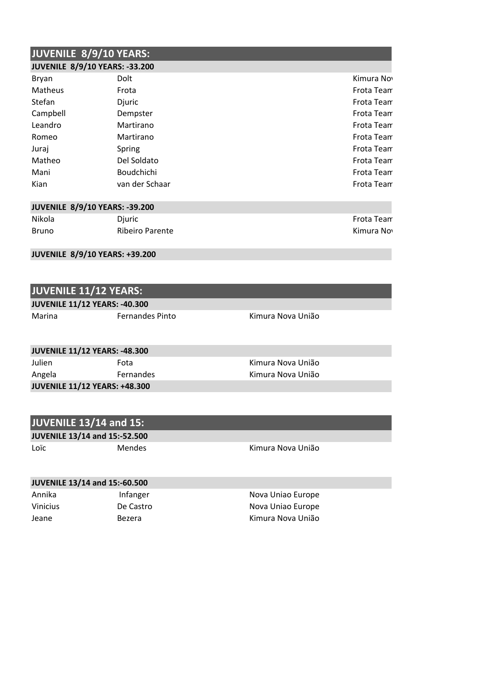## **JUVENILE 8/9/10 YEARS:**

|          | <b>JUVENILE 8/9/10 YEARS: -33.200</b> |            |
|----------|---------------------------------------|------------|
| Bryan    | Dolt                                  | Kimura Nov |
| Matheus  | Frota                                 | Frota Team |
| Stefan   | Djuric                                | Frota Team |
| Campbell | Dempster                              | Frota Team |
| Leandro  | Martirano                             | Frota Team |
| Romeo    | Martirano                             | Frota Team |
| Juraj    | Spring                                | Frota Team |
| Matheo   | Del Soldato                           | Frota Team |
| Mani     | Boudchichi                            | Frota Team |
| Kian     | van der Schaar                        | Frota Team |
|          |                                       |            |

#### **JUVENILE 8/9/10 YEARS: -39.200**

| Nikola | Djuric          | Frota Team |
|--------|-----------------|------------|
| Bruno  | Ribeiro Parente | Kimura No  |

#### **JUVENILE 8/9/10 YEARS: +39.200**

## **JUVENILE 11/12 YEARS:**

**JUVENILE 11/12 YEARS: -40.300** Marina **Fernandes Pinto** Kimura Nova União

**JUVENILE 11/12 YEARS: -48.300** Julien **Fota** Fota Kimura Nova União Angela **Fernandes** Fernandes Kimura Nova União **JUVENILE 11/12 YEARS: +48.300**

| JUVENILE 13/14 and 15:               |               |
|--------------------------------------|---------------|
| <b>JUVENILE 13/14 and 15:-52.500</b> |               |
| Loïc.                                | <b>Mendes</b> |

Kimura Nova União

#### **JUVENILE 13/14 and 15:-60.500**

Annika Infanger Nova Uniao Europe Vinicius De Castro Nova Uniao Europe Jeane Bezera Kimura Nova União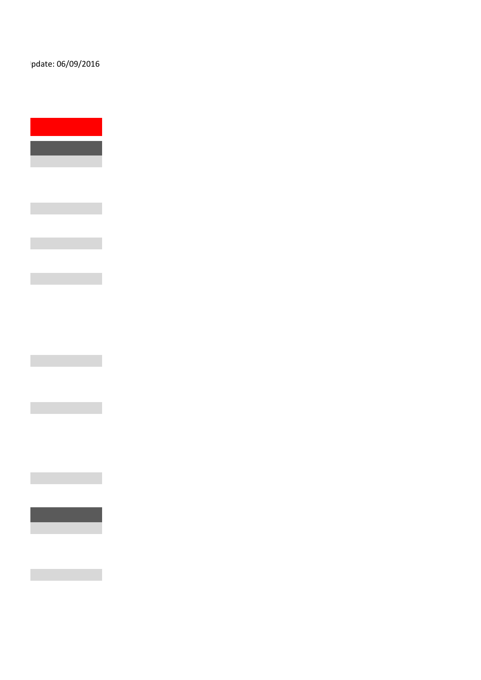Ipdate: 06/09/2016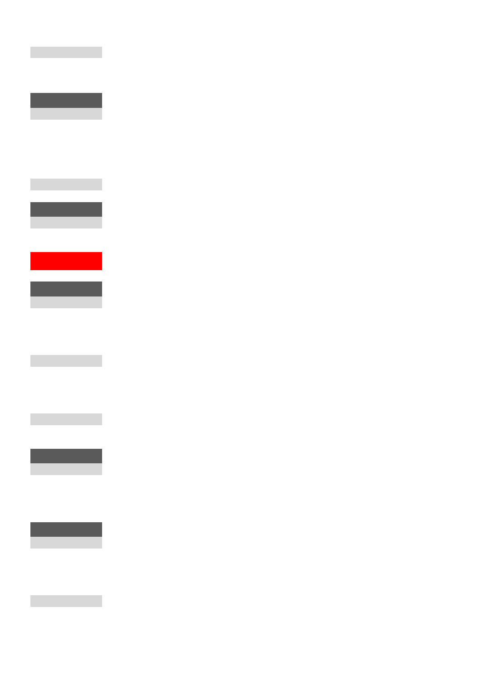

 $\mathcal{L}^{\text{max}}_{\text{max}}$  , where  $\mathcal{L}^{\text{max}}_{\text{max}}$ -

**Contract Contract** 

▀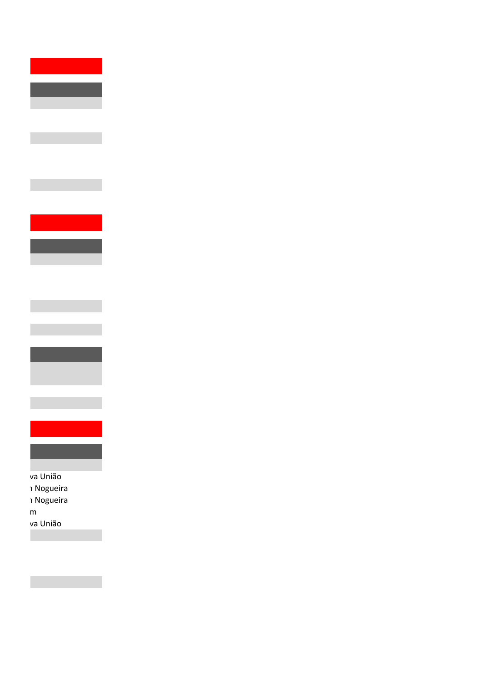

va União